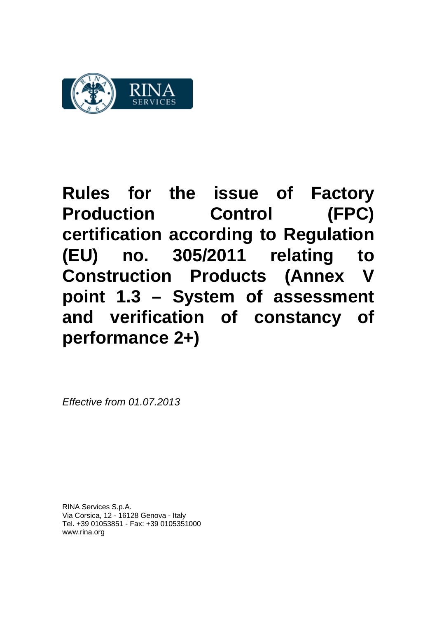

**Rules for the issue of Factory Production Control (FPC) certification according to Regulation (EU) no. 305/2011 relating to Construction Products (Annex point 1.3 – System of assessment and verification of constancy of performance 2+)**

*Effective from 01.07.2013*

RINA Services S.p.A. Via Corsica, 12 - 16128 Genova - Italy Tel. +39 01053851 - Fax: +39 0105351000 www.rina.org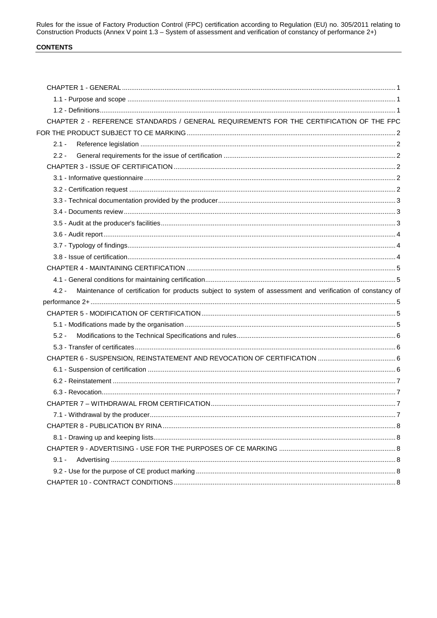Rules for the issue of Factory Production Control (FPC) certification according to Regulation (EU) no. 305/2011 relating to Construction Products (Annex V point 1.3 – System of assessment and verification of constancy of p

# **CONTENTS**

| CHAPTER 2 - REFERENCE STANDARDS / GENERAL REQUIREMENTS FOR THE CERTIFICATION OF THE FPC                               |  |
|-----------------------------------------------------------------------------------------------------------------------|--|
|                                                                                                                       |  |
| $2.1 -$                                                                                                               |  |
| $2.2 -$                                                                                                               |  |
|                                                                                                                       |  |
|                                                                                                                       |  |
|                                                                                                                       |  |
|                                                                                                                       |  |
|                                                                                                                       |  |
|                                                                                                                       |  |
|                                                                                                                       |  |
|                                                                                                                       |  |
|                                                                                                                       |  |
|                                                                                                                       |  |
|                                                                                                                       |  |
| Maintenance of certification for products subject to system of assessment and verification of constancy of<br>$4.2 -$ |  |
|                                                                                                                       |  |
|                                                                                                                       |  |
|                                                                                                                       |  |
| $5.2 -$                                                                                                               |  |
|                                                                                                                       |  |
|                                                                                                                       |  |
|                                                                                                                       |  |
|                                                                                                                       |  |
|                                                                                                                       |  |
|                                                                                                                       |  |
|                                                                                                                       |  |
|                                                                                                                       |  |
|                                                                                                                       |  |
|                                                                                                                       |  |
| $9.1 -$                                                                                                               |  |
|                                                                                                                       |  |
|                                                                                                                       |  |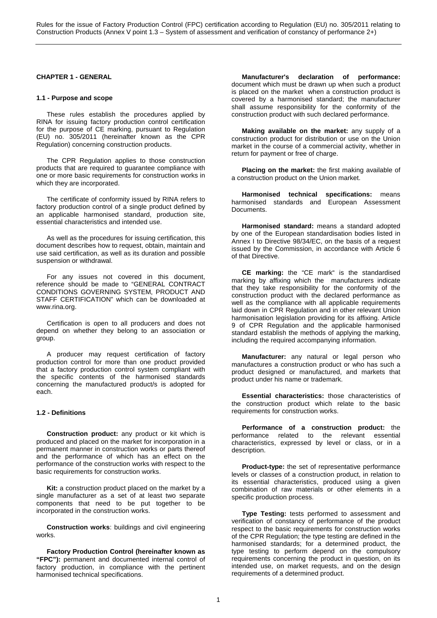# **CHAPTER 1 - GENERAL**

### **1.1 - Purpose and scope**

These rules establish the procedures applied by RINA for issuing factory production control certification for the purpose of CE marking, pursuant to Regulation (EU) no. 305/2011 (hereinafter known as the CPR Regulation) concerning construction products.

The CPR Regulation applies to those construction products that are required to guarantee compliance with one or more basic requirements for construction works in which they are incorporated.

The certificate of conformity issued by RINA refers to factory production control of a single product defined by an applicable harmonised standard, production site, essential characteristics and intended use.

As well as the procedures for issuing certification, this document describes how to request, obtain, maintain and use said certification, as well as its duration and possible suspension or withdrawal.

For any issues not covered in this document, reference should be made to "GENERAL CONTRACT CONDITIONS GOVERNING SYSTEM, PRODUCT AND STAFF CERTIFICATION" which can be downloaded at www.rina.org.

Certification is open to all producers and does not depend on whether they belong to an association or group.

A producer may request certification of factory production control for more than one product provided that a factory production control system compliant with the specific contents of the harmonised standards concerning the manufactured product/s is adopted for each.

# **1.2 - Definitions**

**Construction product:** any product or kit which is produced and placed on the market for incorporation in a permanent manner in construction works or parts thereof and the performance of which has an effect on the performance of the construction works with respect to the basic requirements for construction works.

**Kit:** a construction product placed on the market by a single manufacturer as a set of at least two separate components that need to be put together to be incorporated in the construction works.

**Construction works**: buildings and civil engineering works.

**Factory Production Control (hereinafter known as "FPC"):** permanent and documented internal control of factory production, in compliance with the pertinent harmonised technical specifications.

**Manufacturer's declaration of performance:**  document which must be drawn up when such a product is placed on the market when a construction product is covered by a harmonised standard; the manufacturer shall assume responsibility for the conformity of the construction product with such declared performance.

**Making available on the market:** any supply of a construction product for distribution or use on the Union market in the course of a commercial activity, whether in return for payment or free of charge.

**Placing on the market:** the first making available of a construction product on the Union market.

**Harmonised technical specifications:** means harmonised standards and European Assessment Documents.

**Harmonised standard:** means a standard adopted by one of the European standardisation bodies listed in Annex I to Directive 98/34/EC, on the basis of a request issued by the Commission, in accordance with Article 6 of that Directive.

**CE marking:** the "CE mark" is the standardised marking by affixing which the manufacturers indicate that they take responsibility for the conformity of the construction product with the declared performance as well as the compliance with all applicable requirements laid down in CPR Regulation and in other relevant Union harmonisation legislation providing for its affixing. Article 9 of CPR Regulation and the applicable harmonised standard establish the methods of applying the marking, including the required accompanying information.

**Manufacturer:** any natural or legal person who manufactures a construction product or who has such a product designed or manufactured, and markets that product under his name or trademark.

**Essential characteristics:** those characteristics of the construction product which relate to the basic requirements for construction works.

**Performance of a construction product:** the performance related to the relevant essential characteristics, expressed by level or class, or in a description.

**Product-type:** the set of representative performance levels or classes of a construction product, in relation to its essential characteristics, produced using a given combination of raw materials or other elements in a specific production process.

**Type Testing:** tests performed to assessment and verification of constancy of performance of the product respect to the basic requirements for construction works of the CPR Regulation; the type testing are defined in the harmonised standards; for a determined product, the type testing to perform depend on the compulsory requirements concerning the product in question, on its intended use, on market requests, and on the design requirements of a determined product.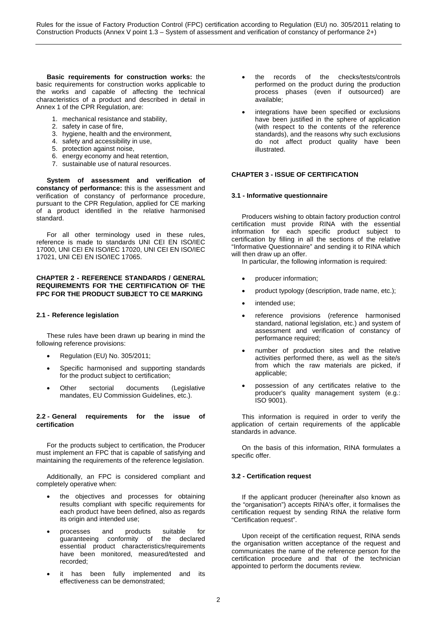**Basic requirements for construction works:** the basic requirements for construction works applicable to the works and capable of affecting the technical characteristics of a product and described in detail in Annex 1 of the CPR Regulation, are:

- 1. mechanical resistance and stability,
- 2. safety in case of fire,
- 3. hygiene, health and the environment,
- 4. safety and accessibility in use,
- 5. protection against noise,
- 6. energy economy and heat retention,
- 7. sustainable use of natural resources.

**System of assessment and verification of constancy of performance:** this is the assessment and verification of constancy of performance procedure, pursuant to the CPR Regulation, applied for CE marking of a product identified in the relative harmonised standard.

For all other terminology used in these rules, reference is made to standards UNI CEI EN ISO/IEC 17000, UNI CEI EN ISO/IEC 17020, UNI CEI EN ISO/IEC 17021, UNI CEI EN ISO/IEC 17065.

## **CHAPTER 2 - REFERENCE STANDARDS / GENERAL REQUIREMENTS FOR THE CERTIFICATION OF THE FPC FOR THE PRODUCT SUBJECT TO CE MARKING**

## **2.1 - Reference legislation**

These rules have been drawn up bearing in mind the following reference provisions:

- Regulation (EU) No. 305/2011;
- Specific harmonised and supporting standards for the product subject to certification;
- Other sectorial documents (Legislative mandates, EU Commission Guidelines, etc.).

## **2.2 - General requirements for the issue of certification**

For the products subject to certification, the Producer must implement an FPC that is capable of satisfying and maintaining the requirements of the reference legislation.

Additionally, an FPC is considered compliant and completely operative when:

- the objectives and processes for obtaining results compliant with specific requirements for each product have been defined, also as regards its origin and intended use;
- processes and products suitable for guaranteeing conformity of the declared essential product characteristics/requirements have been monitored, measured/tested and recorded;
- it has been fully implemented and its effectiveness can be demonstrated;
- the records of the checks/tests/controls performed on the product during the production process phases (even if outsourced) are available;
- integrations have been specified or exclusions have been justified in the sphere of application (with respect to the contents of the reference standards), and the reasons why such exclusions do not affect product quality have been illustrated.

### **CHAPTER 3 - ISSUE OF CERTIFICATION**

### **3.1 - Informative questionnaire**

Producers wishing to obtain factory production control certification must provide RINA with the essential information for each specific product subject to certification by filling in all the sections of the relative "Informative Questionnaire" and sending it to RINA which will then draw up an offer.

In particular, the following information is required:

- producer information;
- product typology (description, trade name, etc.);
- intended use;
- reference provisions (reference harmonised standard, national legislation, etc.) and system of assessment and verification of constancy of performance required;
- number of production sites and the relative activities performed there, as well as the site/s from which the raw materials are picked, if applicable;
- possession of any certificates relative to the producer's quality management system (e.g.: ISO 9001).

This information is required in order to verify the application of certain requirements of the applicable standards in advance.

On the basis of this information, RINA formulates a specific offer.

## **3.2 - Certification request**

If the applicant producer (hereinafter also known as the "organisation") accepts RINA's offer, it formalises the certification request by sending RINA the relative form "Certification request".

Upon receipt of the certification request, RINA sends the organisation written acceptance of the request and communicates the name of the reference person for the certification procedure and that of the technician appointed to perform the documents review.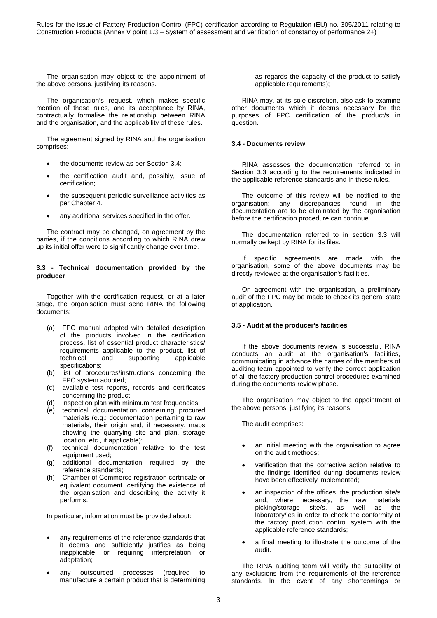The organisation may object to the appointment of the above persons, justifying its reasons.

The organisation's request, which makes specific mention of these rules, and its acceptance by RINA, contractually formalise the relationship between RINA and the organisation, and the applicability of these rules.

The agreement signed by RINA and the organisation comprises:

- the documents review as per Section 3.4;
- the certification audit and, possibly, issue of certification;
- the subsequent periodic surveillance activities as per Chapter 4.
- any additional services specified in the offer.

The contract may be changed, on agreement by the parties, if the conditions according to which RINA drew up its initial offer were to significantly change over time.

## **3.3 - Technical documentation provided by the producer**

Together with the certification request, or at a later stage, the organisation must send RINA the following documents:

- (a) FPC manual adopted with detailed description of the products involved in the certification process, list of essential product characteristics/ requirements applicable to the product, list of technical and supporting applicable supporting specifications;
- (b) list of procedures/instructions concerning the FPC system adopted;
- (c) available test reports, records and certificates concerning the product;
- (d) inspection plan with minimum test frequencies;
- (e) technical documentation concerning procured materials (e.g.: documentation pertaining to raw materials, their origin and, if necessary, maps showing the quarrying site and plan, storage location, etc., if applicable);
- (f) technical documentation relative to the test equipment used;
- (g) additional documentation required by the reference standards;
- (h) Chamber of Commerce registration certificate or equivalent document. certifying the existence of the organisation and describing the activity it performs.

In particular, information must be provided about:

- any requirements of the reference standards that it deems and sufficiently justifies as being inapplicable or requiring interpretation or adaptation;
- any outsourced processes (required to manufacture a certain product that is determining

as regards the capacity of the product to satisfy applicable requirements);

RINA may, at its sole discretion, also ask to examine other documents which it deems necessary for the purposes of FPC certification of the product/s in question.

## **3.4 - Documents review**

RINA assesses the documentation referred to in Section 3.3 according to the requirements indicated in the applicable reference standards and in these rules.

The outcome of this review will be notified to the organisation; any discrepancies found in the documentation are to be eliminated by the organisation before the certification procedure can continue.

The documentation referred to in section 3.3 will normally be kept by RINA for its files.

If specific agreements are made with the organisation, some of the above documents may be directly reviewed at the organisation's facilities.

On agreement with the organisation, a preliminary audit of the FPC may be made to check its general state of application.

## **3.5 - Audit at the producer's facilities**

If the above documents review is successful, RINA conducts an audit at the organisation's facilities, communicating in advance the names of the members of auditing team appointed to verify the correct application of all the factory production control procedures examined during the documents review phase.

The organisation may object to the appointment of the above persons, justifying its reasons.

The audit comprises:

- an initial meeting with the organisation to agree on the audit methods;
- verification that the corrective action relative to the findings identified during documents review have been effectively implemented;
- an inspection of the offices, the production site/s and, where necessary, the raw materials picking/storage site/s, as well as the laboratory/ies in order to check the conformity of the factory production control system with the applicable reference standards;
- a final meeting to illustrate the outcome of the audit.

The RINA auditing team will verify the suitability of any exclusions from the requirements of the reference standards. In the event of any shortcomings or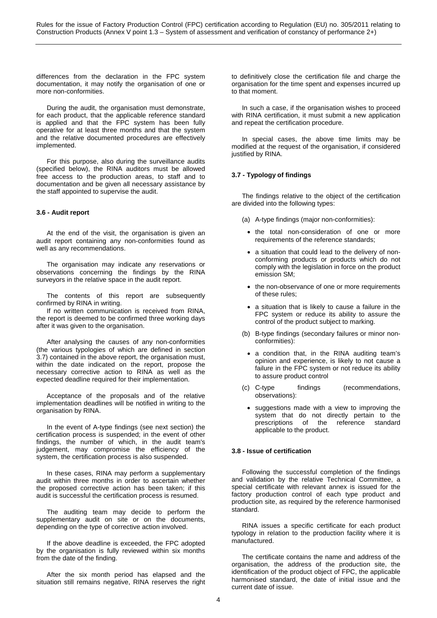differences from the declaration in the FPC system documentation, it may notify the organisation of one or more non-conformities.

During the audit, the organisation must demonstrate, for each product, that the applicable reference standard is applied and that the FPC system has been fully operative for at least three months and that the system and the relative documented procedures are effectively implemented.

For this purpose, also during the surveillance audits (specified below), the RINA auditors must be allowed free access to the production areas, to staff and to documentation and be given all necessary assistance by the staff appointed to supervise the audit.

## **3.6 - Audit report**

At the end of the visit, the organisation is given an audit report containing any non-conformities found as well as any recommendations.

The organisation may indicate any reservations or observations concerning the findings by the RINA surveyors in the relative space in the audit report.

The contents of this report are subsequently confirmed by RINA in writing.

If no written communication is received from RINA, the report is deemed to be confirmed three working days after it was given to the organisation.

After analysing the causes of any non-conformities (the various typologies of which are defined in section 3.7) contained in the above report, the organisation must, within the date indicated on the report, propose the necessary corrective action to RINA as well as the expected deadline required for their implementation.

Acceptance of the proposals and of the relative implementation deadlines will be notified in writing to the organisation by RINA.

In the event of A-type findings (see next section) the certification process is suspended; in the event of other findings, the number of which, in the audit team's judgement, may compromise the efficiency of the system, the certification process is also suspended.

In these cases, RINA may perform a supplementary audit within three months in order to ascertain whether the proposed corrective action has been taken; if this audit is successful the certification process is resumed.

The auditing team may decide to perform the supplementary audit on site or on the documents, depending on the type of corrective action involved.

If the above deadline is exceeded, the FPC adopted by the organisation is fully reviewed within six months from the date of the finding.

After the six month period has elapsed and the situation still remains negative, RINA reserves the right to definitively close the certification file and charge the organisation for the time spent and expenses incurred up to that moment.

In such a case, if the organisation wishes to proceed with RINA certification, it must submit a new application and repeat the certification procedure.

In special cases, the above time limits may be modified at the request of the organisation, if considered justified by RINA.

# **3.7 - Typology of findings**

The findings relative to the object of the certification are divided into the following types:

- (a) A-type findings (major non-conformities):
	- the total non-consideration of one or more requirements of the reference standards;
	- a situation that could lead to the delivery of nonconforming products or products which do not comply with the legislation in force on the product emission SM;
	- the non-observance of one or more requirements of these rules;
	- a situation that is likely to cause a failure in the FPC system or reduce its ability to assure the control of the product subject to marking.
- (b) B-type findings (secondary failures or minor nonconformities):
	- a condition that, in the RINA auditing team's opinion and experience, is likely to not cause a failure in the FPC system or not reduce its ability to assure product control
- (c) C-type findings (recommendations, observations):
	- suggestions made with a view to improving the system that do not directly pertain to the<br>prescriptions of the reference standard  $p$ rescriptions of the applicable to the product.

## **3.8 - Issue of certification**

Following the successful completion of the findings and validation by the relative Technical Committee, a special certificate with relevant annex is issued for the factory production control of each type product and production site, as required by the reference harmonised standard.

RINA issues a specific certificate for each product typology in relation to the production facility where it is manufactured.

The certificate contains the name and address of the organisation, the address of the production site, the identification of the product object of FPC, the applicable harmonised standard, the date of initial issue and the current date of issue.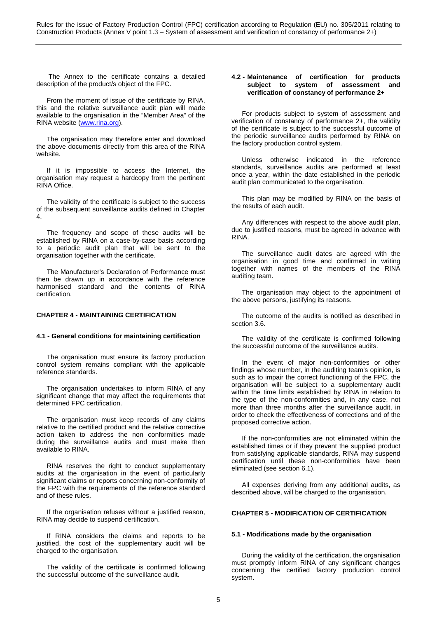The Annex to the certificate contains a detailed description of the product/s object of the FPC.

From the moment of issue of the certificate by RINA, this and the relative surveillance audit plan will made available to the organisation in the "Member Area" of the RINA website [\(www.rina.org\)](http://www.rina.org/).

The organisation may therefore enter and download the above documents directly from this area of the RINA website.

If it is impossible to access the Internet, the organisation may request a hardcopy from the pertinent RINA Office.

The validity of the certificate is subject to the success of the subsequent surveillance audits defined in Chapter 4.

The frequency and scope of these audits will be established by RINA on a case-by-case basis according to a periodic audit plan that will be sent to the organisation together with the certificate.

The Manufacturer's Declaration of Performance must then be drawn up in accordance with the reference harmonised standard and the contents of RINA certification.

## **CHAPTER 4 - MAINTAINING CERTIFICATION**

### **4.1 - General conditions for maintaining certification**

The organisation must ensure its factory production control system remains compliant with the applicable reference standards.

The organisation undertakes to inform RINA of any significant change that may affect the requirements that determined FPC certification.

The organisation must keep records of any claims relative to the certified product and the relative corrective action taken to address the non conformities made during the surveillance audits and must make then available to RINA.

RINA reserves the right to conduct supplementary audits at the organisation in the event of particularly significant claims or reports concerning non-conformity of the FPC with the requirements of the reference standard and of these rules.

If the organisation refuses without a justified reason, RINA may decide to suspend certification.

If RINA considers the claims and reports to be justified, the cost of the supplementary audit will be charged to the organisation.

The validity of the certificate is confirmed following the successful outcome of the surveillance audit.

## **4.2 - Maintenance of certification for products subject to system of assessment and verification of constancy of performance 2+**

For products subject to system of assessment and verification of constancy of performance 2+, the validity of the certificate is subject to the successful outcome of the periodic surveillance audits performed by RINA on the factory production control system.

Unless otherwise indicated in the reference standards, surveillance audits are performed at least once a year, within the date established in the periodic audit plan communicated to the organisation.

This plan may be modified by RINA on the basis of the results of each audit.

Any differences with respect to the above audit plan, due to justified reasons, must be agreed in advance with RINA.

The surveillance audit dates are agreed with the organisation in good time and confirmed in writing together with names of the members of the RINA auditing team.

The organisation may object to the appointment of the above persons, justifying its reasons.

The outcome of the audits is notified as described in section 3.6.

The validity of the certificate is confirmed following the successful outcome of the surveillance audits.

In the event of major non-conformities or other findings whose number, in the auditing team's opinion, is such as to impair the correct functioning of the FPC, the organisation will be subject to a supplementary audit within the time limits established by RINA in relation to the type of the non-conformities and, in any case, not more than three months after the surveillance audit, in order to check the effectiveness of corrections and of the proposed corrective action.

If the non-conformities are not eliminated within the established times or if they prevent the supplied product from satisfying applicable standards, RINA may suspend certification until these non-conformities have been eliminated (see section 6.1).

All expenses deriving from any additional audits, as described above, will be charged to the organisation.

# **CHAPTER 5 - MODIFICATION OF CERTIFICATION**

### **5.1 - Modifications made by the organisation**

During the validity of the certification, the organisation must promptly inform RINA of any significant changes concerning the certified factory production control system.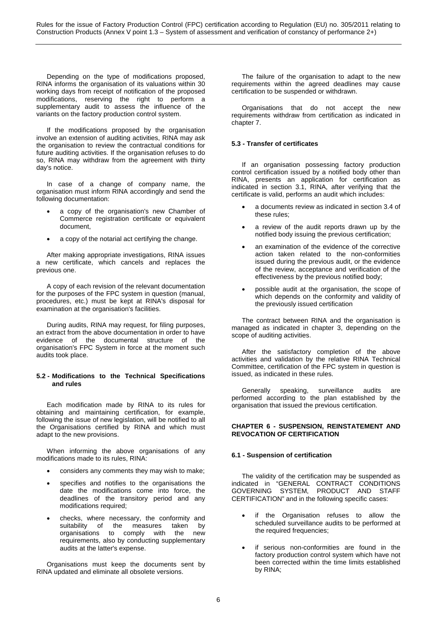Depending on the type of modifications proposed, RINA informs the organisation of its valuations within 30 working days from receipt of notification of the proposed modifications, reserving the right to perform a supplementary audit to assess the influence of the variants on the factory production control system.

If the modifications proposed by the organisation involve an extension of auditing activities, RINA may ask the organisation to review the contractual conditions for future auditing activities. If the organisation refuses to do so, RINA may withdraw from the agreement with thirty day's notice.

In case of a change of company name, the organisation must inform RINA accordingly and send the following documentation:

- a copy of the organisation's new Chamber of Commerce registration certificate or equivalent document,
- a copy of the notarial act certifying the change.

After making appropriate investigations, RINA issues a new certificate, which cancels and replaces the previous one.

A copy of each revision of the relevant documentation for the purposes of the FPC system in question (manual, procedures, etc.) must be kept at RINA's disposal for examination at the organisation's facilities.

During audits, RINA may request, for filing purposes, an extract from the above documentation in order to have evidence of the documental structure of the organisation's FPC System in force at the moment such audits took place.

## **5.2 - Modifications to the Technical Specifications and rules**

Each modification made by RINA to its rules for obtaining and maintaining certification, for example, following the issue of new legislation, will be notified to all the Organisations certified by RINA and which must adapt to the new provisions.

When informing the above organisations of any modifications made to its rules, RINA:

- considers any comments they may wish to make;
- specifies and notifies to the organisations the date the modifications come into force, the deadlines of the transitory period and any modifications required;
- checks, where necessary, the conformity and suitability of the measures taken by organisations to comply with the new requirements, also by conducting supplementary audits at the latter's expense.

Organisations must keep the documents sent by RINA updated and eliminate all obsolete versions.

The failure of the organisation to adapt to the new requirements within the agreed deadlines may cause certification to be suspended or withdrawn.

Organisations that do not accept the new requirements withdraw from certification as indicated in chapter 7.

# **5.3 - Transfer of certificates**

If an organisation possessing factory production control certification issued by a notified body other than RINA, presents an application for certification as indicated in section 3.1, RINA, after verifying that the certificate is valid, performs an audit which includes:

- a documents review as indicated in section 3.4 of these rules;
- a review of the audit reports drawn up by the notified body issuing the previous certification;
- an examination of the evidence of the corrective action taken related to the non-conformities issued during the previous audit, or the evidence of the review, acceptance and verification of the effectiveness by the previous notified body;
- possible audit at the organisation, the scope of which depends on the conformity and validity of the previously issued certification

The contract between RINA and the organisation is managed as indicated in chapter 3, depending on the scope of auditing activities.

After the satisfactory completion of the above activities and validation by the relative RINA Technical Committee, certification of the FPC system in question is issued, as indicated in these rules.

Generally speaking, surveillance audits are performed according to the plan established by the organisation that issued the previous certification.

## **CHAPTER 6 - SUSPENSION, REINSTATEMENT AND REVOCATION OF CERTIFICATION**

## **6.1 - Suspension of certification**

The validity of the certification may be suspended as indicated in "GENERAL CONTRACT CONDITIONS GOVERNING SYSTEM, PRODUCT AND STAFF CERTIFICATION" and in the following specific cases:

- if the Organisation refuses to allow the scheduled surveillance audits to be performed at the required frequencies;
- if serious non-conformities are found in the factory production control system which have not been corrected within the time limits established by RINA;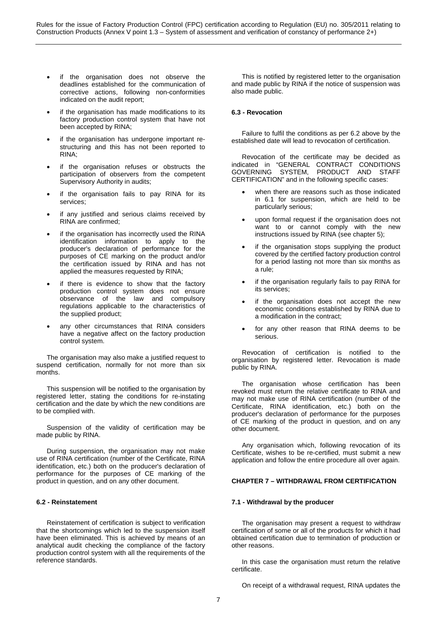- if the organisation does not observe the deadlines established for the communication of corrective actions, following non-conformities indicated on the audit report;
- if the organisation has made modifications to its factory production control system that have not been accepted by RINA;
- if the organisation has undergone important restructuring and this has not been reported to RINA;
- if the organisation refuses or obstructs the participation of observers from the competent Supervisory Authority in audits;
- if the organisation fails to pay RINA for its services;
- if any justified and serious claims received by RINA are confirmed;
- if the organisation has incorrectly used the RINA identification information to apply to the producer's declaration of performance for the purposes of CE marking on the product and/or the certification issued by RINA and has not applied the measures requested by RINA;
- if there is evidence to show that the factory production control system does not ensure observance of the law and compulsory regulations applicable to the characteristics of the supplied product;
- any other circumstances that RINA considers have a negative affect on the factory production control system.

The organisation may also make a justified request to suspend certification, normally for not more than six months.

This suspension will be notified to the organisation by registered letter, stating the conditions for re-instating certification and the date by which the new conditions are to be complied with.

Suspension of the validity of certification may be made public by RINA.

During suspension, the organisation may not make use of RINA certification (number of the Certificate, RINA identification, etc.) both on the producer's declaration of performance for the purposes of CE marking of the product in question, and on any other document.

## **6.2 - Reinstatement**

Reinstatement of certification is subject to verification that the shortcomings which led to the suspension itself have been eliminated. This is achieved by means of an analytical audit checking the compliance of the factory production control system with all the requirements of the reference standards.

This is notified by registered letter to the organisation and made public by RINA if the notice of suspension was also made public.

## **6.3 - Revocation**

Failure to fulfil the conditions as per 6.2 above by the established date will lead to revocation of certification.

Revocation of the certificate may be decided as indicated in "GENERAL CONTRACT CONDITIONS GOVERNING SYSTEM, PRODUCT AND STAFF CERTIFICATION" and in the following specific cases:

- when there are reasons such as those indicated in 6.1 for suspension, which are held to be particularly serious;
- upon formal request if the organisation does not want to or cannot comply with the new instructions issued by RINA (see chapter 5);
- if the organisation stops supplying the product covered by the certified factory production control for a period lasting not more than six months as a rule;
- if the organisation regularly fails to pay RINA for its services;
- if the organisation does not accept the new economic conditions established by RINA due to a modification in the contract;
- for any other reason that RINA deems to be serious.

Revocation of certification is notified to the organisation by registered letter. Revocation is made public by RINA.

The organisation whose certification has been revoked must return the relative certificate to RINA and may not make use of RINA certification (number of the Certificate, RINA identification, etc.) both on the producer's declaration of performance for the purposes of CE marking of the product in question, and on any other document.

Any organisation which, following revocation of its Certificate, wishes to be re-certified, must submit a new application and follow the entire procedure all over again.

# **CHAPTER 7 – WITHDRAWAL FROM CERTIFICATION**

### **7.1 - Withdrawal by the producer**

The organisation may present a request to withdraw certification of some or all of the products for which it had obtained certification due to termination of production or other reasons.

In this case the organisation must return the relative certificate.

On receipt of a withdrawal request, RINA updates the